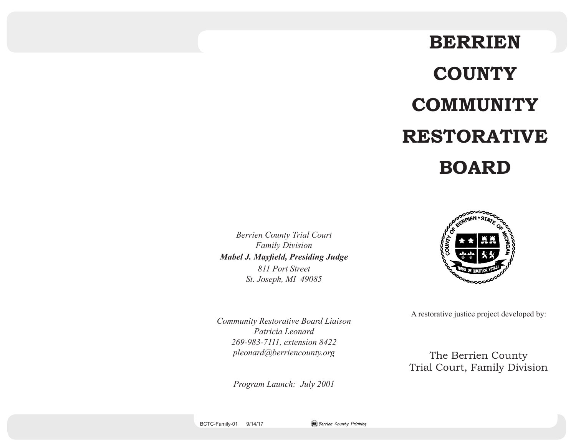# **BERRIEN COUNTY COMMUNITY RESTORATIVE BOARD**

*Berrien County Trial Court Family Division Mabel J. Mayfield, Presiding Judge 811 Port Street St. Joseph, MI 49085*



A restorative justice project developed by:

The Berrien County Trial Court, Family Division

*Community Restorative Board Liaison Patricia Leonard 269-983-7111, extension 8422 pleonard@berriencounty.org*

*Program Launch: July 2001*